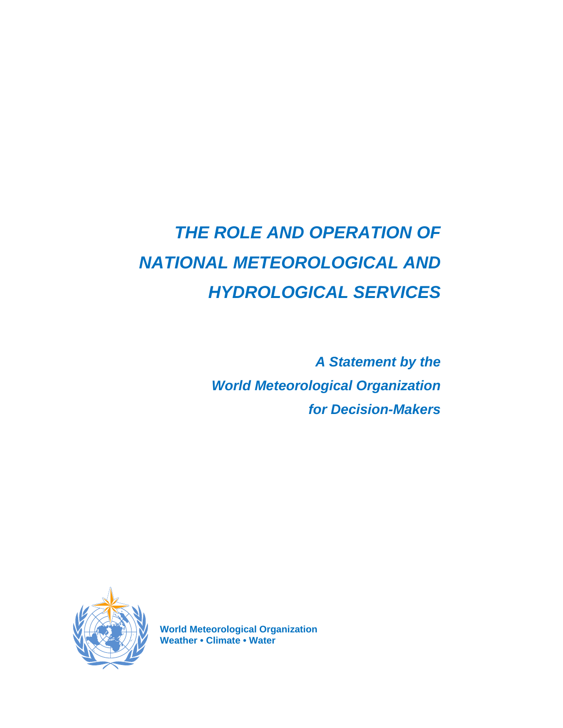# *THE ROLE AND OPERATION OF NATIONAL METEOROLOGICAL AND HYDROLOGICAL SERVICES*

*A Statement by the World Meteorological Organization for Decision-Makers* 



**World Meteorological Organization Weather • Climate • Water**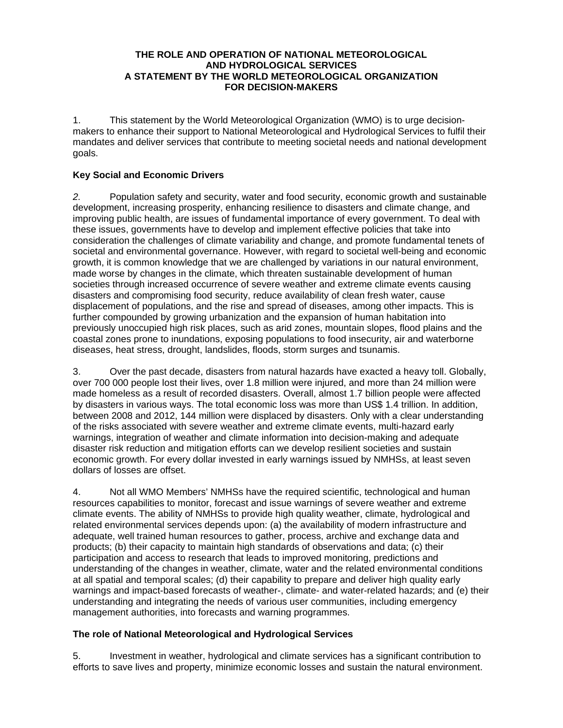#### **THE ROLE AND OPERATION OF NATIONAL METEOROLOGICAL AND HYDROLOGICAL SERVICES A STATEMENT BY THE WORLD METEOROLOGICAL ORGANIZATION FOR DECISION-MAKERS**

1. This statement by the World Meteorological Organization (WMO) is to urge decisionmakers to enhance their support to National Meteorological and Hydrological Services to fulfil their mandates and deliver services that contribute to meeting societal needs and national development goals.

## **Key Social and Economic Drivers**

*2.* Population safety and security, water and food security, economic growth and sustainable development, increasing prosperity, enhancing resilience to disasters and climate change, and improving public health, are issues of fundamental importance of every government. To deal with these issues, governments have to develop and implement effective policies that take into consideration the challenges of climate variability and change, and promote fundamental tenets of societal and environmental governance. However, with regard to societal well-being and economic growth, it is common knowledge that we are challenged by variations in our natural environment, made worse by changes in the climate, which threaten sustainable development of human societies through increased occurrence of severe weather and extreme climate events causing disasters and compromising food security, reduce availability of clean fresh water, cause displacement of populations, and the rise and spread of diseases, among other impacts. This is further compounded by growing urbanization and the expansion of human habitation into previously unoccupied high risk places, such as arid zones, mountain slopes, flood plains and the coastal zones prone to inundations, exposing populations to food insecurity, air and waterborne diseases, heat stress, drought, landslides, floods, storm surges and tsunamis.

3. Over the past decade, disasters from natural hazards have exacted a heavy toll. Globally, over 700 000 people lost their lives, over 1.8 million were injured, and more than 24 million were made homeless as a result of recorded disasters. Overall, almost 1.7 billion people were affected by disasters in various ways. The total economic loss was more than US\$ 1.4 trillion. In addition, between 2008 and 2012, 144 million were displaced by disasters. Only with a clear understanding of the risks associated with severe weather and extreme climate events, multi-hazard early warnings, integration of weather and climate information into decision-making and adequate disaster risk reduction and mitigation efforts can we develop resilient societies and sustain economic growth. For every dollar invested in early warnings issued by NMHSs, at least seven dollars of losses are offset.

4. Not all WMO Members' NMHSs have the required scientific, technological and human resources capabilities to monitor, forecast and issue warnings of severe weather and extreme climate events. The ability of NMHSs to provide high quality weather, climate, hydrological and related environmental services depends upon: (a) the availability of modern infrastructure and adequate, well trained human resources to gather, process, archive and exchange data and products; (b) their capacity to maintain high standards of observations and data; (c) their participation and access to research that leads to improved monitoring, predictions and understanding of the changes in weather, climate, water and the related environmental conditions at all spatial and temporal scales; (d) their capability to prepare and deliver high quality early warnings and impact-based forecasts of weather-, climate- and water-related hazards; and (e) their understanding and integrating the needs of various user communities, including emergency management authorities, into forecasts and warning programmes.

### **The role of National Meteorological and Hydrological Services**

5. Investment in weather, hydrological and climate services has a significant contribution to efforts to save lives and property, minimize economic losses and sustain the natural environment.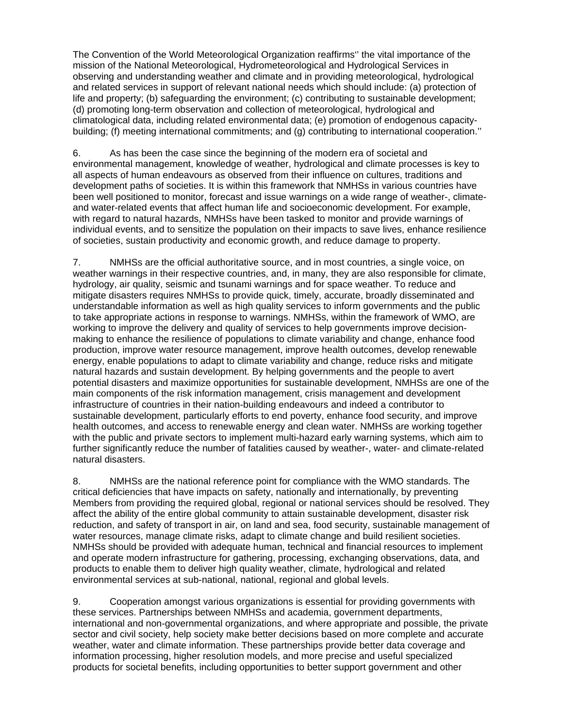The Convention of the World Meteorological Organization reaffirms'' the vital importance of the mission of the National Meteorological, Hydrometeorological and Hydrological Services in observing and understanding weather and climate and in providing meteorological, hydrological and related services in support of relevant national needs which should include: (a) protection of life and property; (b) safeguarding the environment; (c) contributing to sustainable development; (d) promoting long-term observation and collection of meteorological, hydrological and climatological data, including related environmental data; (e) promotion of endogenous capacitybuilding; (f) meeting international commitments; and (g) contributing to international cooperation.''

6. As has been the case since the beginning of the modern era of societal and environmental management, knowledge of weather, hydrological and climate processes is key to all aspects of human endeavours as observed from their influence on cultures, traditions and development paths of societies. It is within this framework that NMHSs in various countries have been well positioned to monitor, forecast and issue warnings on a wide range of weather-, climateand water-related events that affect human life and socioeconomic development. For example, with regard to natural hazards, NMHSs have been tasked to monitor and provide warnings of individual events, and to sensitize the population on their impacts to save lives, enhance resilience of societies, sustain productivity and economic growth, and reduce damage to property.

7. NMHSs are the official authoritative source, and in most countries, a single voice, on weather warnings in their respective countries, and, in many, they are also responsible for climate, hydrology, air quality, seismic and tsunami warnings and for space weather. To reduce and mitigate disasters requires NMHSs to provide quick, timely, accurate, broadly disseminated and understandable information as well as high quality services to inform governments and the public to take appropriate actions in response to warnings. NMHSs, within the framework of WMO, are working to improve the delivery and quality of services to help governments improve decisionmaking to enhance the resilience of populations to climate variability and change, enhance food production, improve water resource management, improve health outcomes, develop renewable energy, enable populations to adapt to climate variability and change, reduce risks and mitigate natural hazards and sustain development. By helping governments and the people to avert potential disasters and maximize opportunities for sustainable development, NMHSs are one of the main components of the risk information management, crisis management and development infrastructure of countries in their nation-building endeavours and indeed a contributor to sustainable development, particularly efforts to end poverty, enhance food security, and improve health outcomes, and access to renewable energy and clean water. NMHSs are working together with the public and private sectors to implement multi-hazard early warning systems, which aim to further significantly reduce the number of fatalities caused by weather-, water- and climate-related natural disasters.

8. NMHSs are the national reference point for compliance with the WMO standards. The critical deficiencies that have impacts on safety, nationally and internationally, by preventing Members from providing the required global, regional or national services should be resolved. They affect the ability of the entire global community to attain sustainable development, disaster risk reduction, and safety of transport in air, on land and sea, food security, sustainable management of water resources, manage climate risks, adapt to climate change and build resilient societies. NMHSs should be provided with adequate human, technical and financial resources to implement and operate modern infrastructure for gathering, processing, exchanging observations, data, and products to enable them to deliver high quality weather, climate, hydrological and related environmental services at sub-national, national, regional and global levels.

9. Cooperation amongst various organizations is essential for providing governments with these services. Partnerships between NMHSs and academia, government departments, international and non-governmental organizations, and where appropriate and possible, the private sector and civil society, help society make better decisions based on more complete and accurate weather, water and climate information. These partnerships provide better data coverage and information processing, higher resolution models, and more precise and useful specialized products for societal benefits, including opportunities to better support government and other